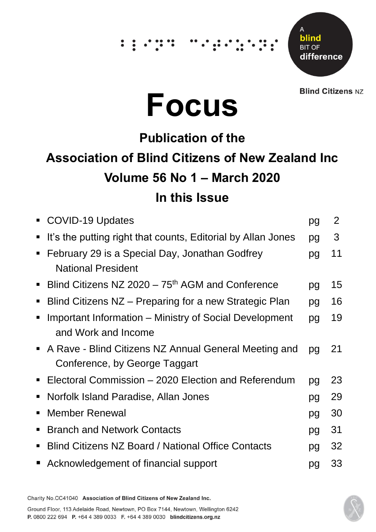# $\dddot{\hspace{0.1cm}}\cdot\hspace{0.1cm}\dot{\hspace{0.1cm}}\hspace{0.1cm}$

Δ blind **BIT OF** difference

**Blind Citizens NZ** 



# **Publication of the Association of Blind Citizens of New Zealand Inc Volume 56 No 1 – March 2020 In this Issue**

|                | • COVID-19 Updates                                                                     | pg | $\overline{2}$ |
|----------------|----------------------------------------------------------------------------------------|----|----------------|
| п              | It's the putting right that counts, Editorial by Allan Jones                           | pg | 3              |
| $\blacksquare$ | February 29 is a Special Day, Jonathan Godfrey<br><b>National President</b>            | pg | 11             |
| $\blacksquare$ | Blind Citizens NZ $2020 - 75$ <sup>th</sup> AGM and Conference                         | pg | 15             |
| $\blacksquare$ | Blind Citizens NZ – Preparing for a new Strategic Plan                                 | pg | 16             |
|                | Important Information – Ministry of Social Development<br>and Work and Income          | pg | 19             |
|                | A Rave - Blind Citizens NZ Annual General Meeting and<br>Conference, by George Taggart | pg | 21             |
| $\blacksquare$ | Electoral Commission – 2020 Election and Referendum                                    | pg | 23             |
| $\blacksquare$ | Norfolk Island Paradise, Allan Jones                                                   | pg | 29             |
|                | <b>Member Renewal</b>                                                                  | pg | 30             |
| п              | <b>Branch and Network Contacts</b>                                                     | pg | 31             |
| п              | <b>Blind Citizens NZ Board / National Office Contacts</b>                              | pg | 32             |
|                | ■ Acknowledgement of financial support                                                 | pg | 33             |

Charity No.CC41040 Association of Blind Citizens of New Zealand Inc.

Ground Floor, 113 Adelaide Road, Newtown, PO Box 7144, Newtown, Wellington 6242 P. 0800 222 694 P. +64 4 389 0033 F. +64 4 389 0030 blindcitizens.org.nz

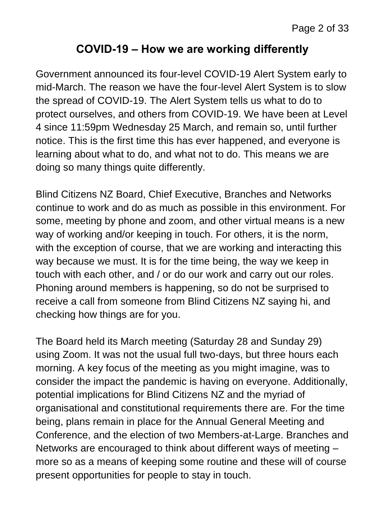#### **COVID-19 – How we are working differently**

Government announced its four-level COVID-19 Alert System early to mid-March. The reason we have the four-level Alert System is to slow the spread of COVID-19. The Alert System tells us what to do to protect ourselves, and others from COVID-19. We have been at Level 4 since 11:59pm Wednesday 25 March, and remain so, until further notice. This is the first time this has ever happened, and everyone is learning about what to do, and what not to do. This means we are doing so many things quite differently.

Blind Citizens NZ Board, Chief Executive, Branches and Networks continue to work and do as much as possible in this environment. For some, meeting by phone and zoom, and other virtual means is a new way of working and/or keeping in touch. For others, it is the norm, with the exception of course, that we are working and interacting this way because we must. It is for the time being, the way we keep in touch with each other, and / or do our work and carry out our roles. Phoning around members is happening, so do not be surprised to receive a call from someone from Blind Citizens NZ saying hi, and checking how things are for you.

The Board held its March meeting (Saturday 28 and Sunday 29) using Zoom. It was not the usual full two-days, but three hours each morning. A key focus of the meeting as you might imagine, was to consider the impact the pandemic is having on everyone. Additionally, potential implications for Blind Citizens NZ and the myriad of organisational and constitutional requirements there are. For the time being, plans remain in place for the Annual General Meeting and Conference, and the election of two Members-at-Large. Branches and Networks are encouraged to think about different ways of meeting – more so as a means of keeping some routine and these will of course present opportunities for people to stay in touch.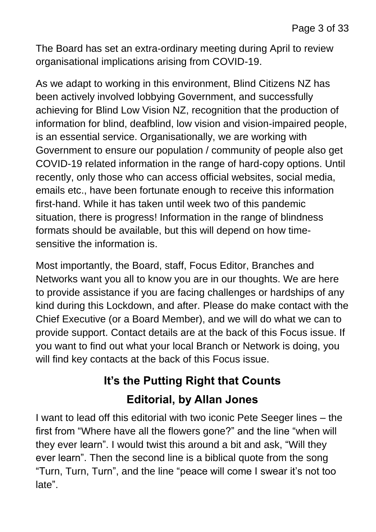The Board has set an extra-ordinary meeting during April to review organisational implications arising from COVID-19.

As we adapt to working in this environment, Blind Citizens NZ has been actively involved lobbying Government, and successfully achieving for Blind Low Vision NZ, recognition that the production of information for blind, deafblind, low vision and vision-impaired people, is an essential service. Organisationally, we are working with Government to ensure our population / community of people also get COVID-19 related information in the range of hard-copy options. Until recently, only those who can access official websites, social media, emails etc., have been fortunate enough to receive this information first-hand. While it has taken until week two of this pandemic situation, there is progress! Information in the range of blindness formats should be available, but this will depend on how timesensitive the information is.

Most importantly, the Board, staff, Focus Editor, Branches and Networks want you all to know you are in our thoughts. We are here to provide assistance if you are facing challenges or hardships of any kind during this Lockdown, and after. Please do make contact with the Chief Executive (or a Board Member), and we will do what we can to provide support. Contact details are at the back of this Focus issue. If you want to find out what your local Branch or Network is doing, you will find key contacts at the back of this Focus issue.

# **It's the Putting Right that Counts**

#### **Editorial, by Allan Jones**

I want to lead off this editorial with two iconic Pete Seeger lines – the first from "Where have all the flowers gone?" and the line "when will they ever learn". I would twist this around a bit and ask, "Will they ever learn". Then the second line is a biblical quote from the song "Turn, Turn, Turn", and the line "peace will come I swear it's not too late".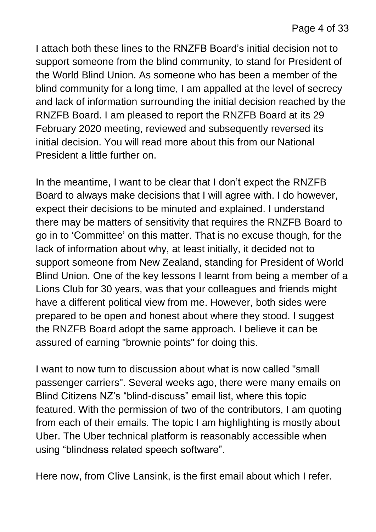I attach both these lines to the RNZFB Board's initial decision not to support someone from the blind community, to stand for President of the World Blind Union. As someone who has been a member of the blind community for a long time, I am appalled at the level of secrecy and lack of information surrounding the initial decision reached by the RNZFB Board. I am pleased to report the RNZFB Board at its 29 February 2020 meeting, reviewed and subsequently reversed its initial decision. You will read more about this from our National President a little further on.

In the meantime, I want to be clear that I don't expect the RNZFB Board to always make decisions that I will agree with. I do however, expect their decisions to be minuted and explained. I understand there may be matters of sensitivity that requires the RNZFB Board to go in to 'Committee' on this matter. That is no excuse though, for the lack of information about why, at least initially, it decided not to support someone from New Zealand, standing for President of World Blind Union. One of the key lessons I learnt from being a member of a Lions Club for 30 years, was that your colleagues and friends might have a different political view from me. However, both sides were prepared to be open and honest about where they stood. I suggest the RNZFB Board adopt the same approach. I believe it can be assured of earning "brownie points" for doing this.

I want to now turn to discussion about what is now called "small passenger carriers". Several weeks ago, there were many emails on Blind Citizens NZ's "blind-discuss" email list, where this topic featured. With the permission of two of the contributors, I am quoting from each of their emails. The topic I am highlighting is mostly about Uber. The Uber technical platform is reasonably accessible when using "blindness related speech software".

Here now, from Clive Lansink, is the first email about which I refer.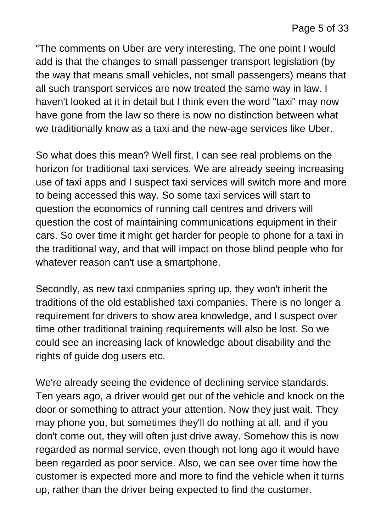"The comments on Uber are very interesting. The one point I would add is that the changes to small passenger transport legislation (by the way that means small vehicles, not small passengers) means that all such transport services are now treated the same way in law. I haven't looked at it in detail but I think even the word "taxi" may now have gone from the law so there is now no distinction between what we traditionally know as a taxi and the new-age services like Uber.

So what does this mean? Well first, I can see real problems on the horizon for traditional taxi services. We are already seeing increasing use of taxi apps and I suspect taxi services will switch more and more to being accessed this way. So some taxi services will start to question the economics of running call centres and drivers will question the cost of maintaining communications equipment in their cars. So over time it might get harder for people to phone for a taxi in the traditional way, and that will impact on those blind people who for whatever reason can't use a smartphone.

Secondly, as new taxi companies spring up, they won't inherit the traditions of the old established taxi companies. There is no longer a requirement for drivers to show area knowledge, and I suspect over time other traditional training requirements will also be lost. So we could see an increasing lack of knowledge about disability and the rights of guide dog users etc.

We're already seeing the evidence of declining service standards. Ten years ago, a driver would get out of the vehicle and knock on the door or something to attract your attention. Now they just wait. They may phone you, but sometimes they'll do nothing at all, and if you don't come out, they will often just drive away. Somehow this is now regarded as normal service, even though not long ago it would have been regarded as poor service. Also, we can see over time how the customer is expected more and more to find the vehicle when it turns up, rather than the driver being expected to find the customer.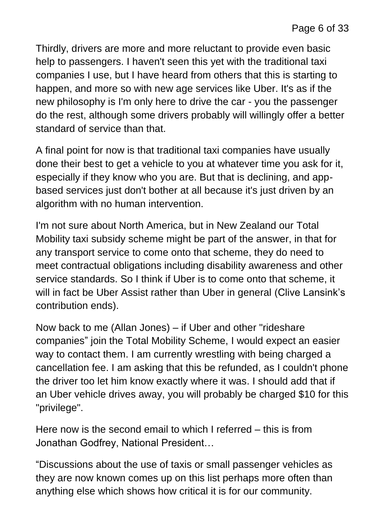Thirdly, drivers are more and more reluctant to provide even basic help to passengers. I haven't seen this yet with the traditional taxi companies I use, but I have heard from others that this is starting to happen, and more so with new age services like Uber. It's as if the new philosophy is I'm only here to drive the car - you the passenger do the rest, although some drivers probably will willingly offer a better standard of service than that.

A final point for now is that traditional taxi companies have usually done their best to get a vehicle to you at whatever time you ask for it, especially if they know who you are. But that is declining, and appbased services just don't bother at all because it's just driven by an algorithm with no human intervention.

I'm not sure about North America, but in New Zealand our Total Mobility taxi subsidy scheme might be part of the answer, in that for any transport service to come onto that scheme, they do need to meet contractual obligations including disability awareness and other service standards. So I think if Uber is to come onto that scheme, it will in fact be Uber Assist rather than Uber in general (Clive Lansink's contribution ends).

Now back to me (Allan Jones) – if Uber and other "rideshare companies" join the Total Mobility Scheme, I would expect an easier way to contact them. I am currently wrestling with being charged a cancellation fee. I am asking that this be refunded, as I couldn't phone the driver too let him know exactly where it was. I should add that if an Uber vehicle drives away, you will probably be charged \$10 for this "privilege".

Here now is the second email to which I referred – this is from Jonathan Godfrey, National President…

"Discussions about the use of taxis or small passenger vehicles as they are now known comes up on this list perhaps more often than anything else which shows how critical it is for our community.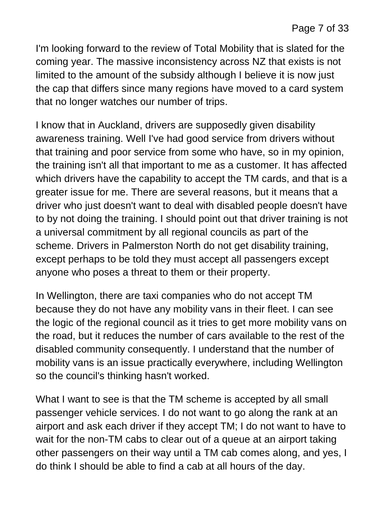I'm looking forward to the review of Total Mobility that is slated for the coming year. The massive inconsistency across NZ that exists is not limited to the amount of the subsidy although I believe it is now just the cap that differs since many regions have moved to a card system that no longer watches our number of trips.

I know that in Auckland, drivers are supposedly given disability awareness training. Well I've had good service from drivers without that training and poor service from some who have, so in my opinion, the training isn't all that important to me as a customer. It has affected which drivers have the capability to accept the TM cards, and that is a greater issue for me. There are several reasons, but it means that a driver who just doesn't want to deal with disabled people doesn't have to by not doing the training. I should point out that driver training is not a universal commitment by all regional councils as part of the scheme. Drivers in Palmerston North do not get disability training, except perhaps to be told they must accept all passengers except anyone who poses a threat to them or their property.

In Wellington, there are taxi companies who do not accept TM because they do not have any mobility vans in their fleet. I can see the logic of the regional council as it tries to get more mobility vans on the road, but it reduces the number of cars available to the rest of the disabled community consequently. I understand that the number of mobility vans is an issue practically everywhere, including Wellington so the council's thinking hasn't worked.

What I want to see is that the TM scheme is accepted by all small passenger vehicle services. I do not want to go along the rank at an airport and ask each driver if they accept TM; I do not want to have to wait for the non-TM cabs to clear out of a queue at an airport taking other passengers on their way until a TM cab comes along, and yes, I do think I should be able to find a cab at all hours of the day.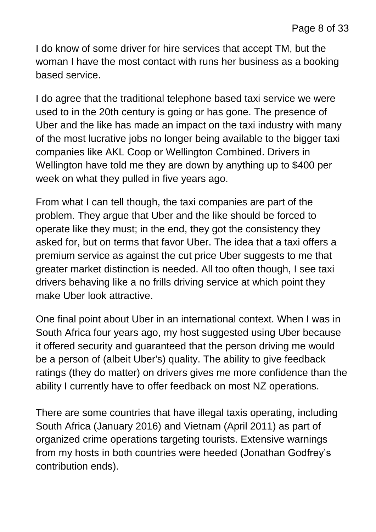I do know of some driver for hire services that accept TM, but the woman I have the most contact with runs her business as a booking based service.

I do agree that the traditional telephone based taxi service we were used to in the 20th century is going or has gone. The presence of Uber and the like has made an impact on the taxi industry with many of the most lucrative jobs no longer being available to the bigger taxi companies like AKL Coop or Wellington Combined. Drivers in Wellington have told me they are down by anything up to \$400 per week on what they pulled in five years ago.

From what I can tell though, the taxi companies are part of the problem. They argue that Uber and the like should be forced to operate like they must; in the end, they got the consistency they asked for, but on terms that favor Uber. The idea that a taxi offers a premium service as against the cut price Uber suggests to me that greater market distinction is needed. All too often though, I see taxi drivers behaving like a no frills driving service at which point they make Uber look attractive.

One final point about Uber in an international context. When I was in South Africa four years ago, my host suggested using Uber because it offered security and guaranteed that the person driving me would be a person of (albeit Uber's) quality. The ability to give feedback ratings (they do matter) on drivers gives me more confidence than the ability I currently have to offer feedback on most NZ operations.

There are some countries that have illegal taxis operating, including South Africa (January 2016) and Vietnam (April 2011) as part of organized crime operations targeting tourists. Extensive warnings from my hosts in both countries were heeded (Jonathan Godfrey's contribution ends).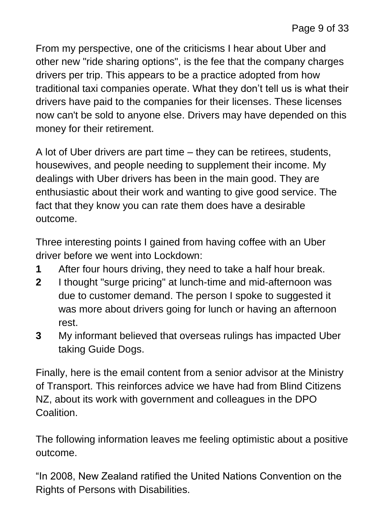From my perspective, one of the criticisms I hear about Uber and other new "ride sharing options", is the fee that the company charges drivers per trip. This appears to be a practice adopted from how traditional taxi companies operate. What they don't tell us is what their drivers have paid to the companies for their licenses. These licenses now can't be sold to anyone else. Drivers may have depended on this money for their retirement.

A lot of Uber drivers are part time – they can be retirees, students, housewives, and people needing to supplement their income. My dealings with Uber drivers has been in the main good. They are enthusiastic about their work and wanting to give good service. The fact that they know you can rate them does have a desirable outcome.

Three interesting points I gained from having coffee with an Uber driver before we went into Lockdown:

- **1** After four hours driving, they need to take a half hour break.
- **2** I thought "surge pricing" at lunch-time and mid-afternoon was due to customer demand. The person I spoke to suggested it was more about drivers going for lunch or having an afternoon rest.
- **3** My informant believed that overseas rulings has impacted Uber taking Guide Dogs.

Finally, here is the email content from a senior advisor at the Ministry of Transport. This reinforces advice we have had from Blind Citizens NZ, about its work with government and colleagues in the DPO Coalition.

The following information leaves me feeling optimistic about a positive outcome.

"In 2008, New Zealand ratified the United Nations Convention on the Rights of Persons with Disabilities.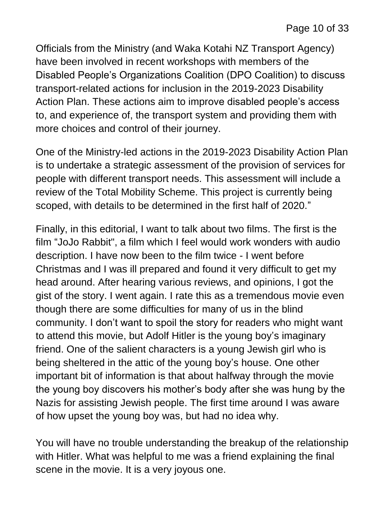Officials from the Ministry (and Waka Kotahi NZ Transport Agency) have been involved in recent workshops with members of the Disabled People's Organizations Coalition (DPO Coalition) to discuss transport-related actions for inclusion in the 2019-2023 Disability Action Plan. These actions aim to improve disabled people's access to, and experience of, the transport system and providing them with more choices and control of their journey.

One of the Ministry-led actions in the 2019-2023 Disability Action Plan is to undertake a strategic assessment of the provision of services for people with different transport needs. This assessment will include a review of the Total Mobility Scheme. This project is currently being scoped, with details to be determined in the first half of 2020."

Finally, in this editorial, I want to talk about two films. The first is the film "JoJo Rabbit", a film which I feel would work wonders with audio description. I have now been to the film twice - I went before Christmas and I was ill prepared and found it very difficult to get my head around. After hearing various reviews, and opinions, I got the gist of the story. I went again. I rate this as a tremendous movie even though there are some difficulties for many of us in the blind community. I don't want to spoil the story for readers who might want to attend this movie, but Adolf Hitler is the young boy's imaginary friend. One of the salient characters is a young Jewish girl who is being sheltered in the attic of the young boy's house. One other important bit of information is that about halfway through the movie the young boy discovers his mother's body after she was hung by the Nazis for assisting Jewish people. The first time around I was aware of how upset the young boy was, but had no idea why.

You will have no trouble understanding the breakup of the relationship with Hitler. What was helpful to me was a friend explaining the final scene in the movie. It is a very joyous one.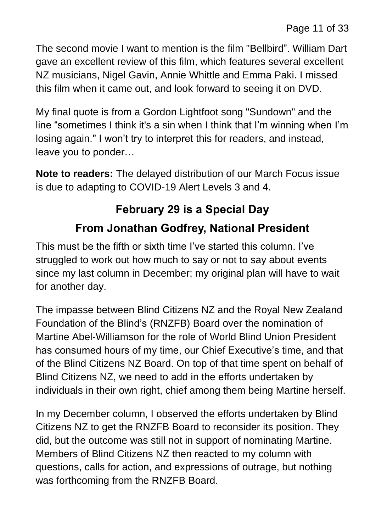The second movie I want to mention is the film "Bellbird". William Dart gave an excellent review of this film, which features several excellent NZ musicians, Nigel Gavin, Annie Whittle and Emma Paki. I missed this film when it came out, and look forward to seeing it on DVD.

My final quote is from a Gordon Lightfoot song "Sundown" and the line "sometimes I think it's a sin when I think that I'm winning when I'm losing again." I won't try to interpret this for readers, and instead, leave you to ponder…

**Note to readers:** The delayed distribution of our March Focus issue is due to adapting to COVID-19 Alert Levels 3 and 4.

# **February 29 is a Special Day From Jonathan Godfrey, National President**

This must be the fifth or sixth time I've started this column. I've struggled to work out how much to say or not to say about events since my last column in December; my original plan will have to wait for another day.

The impasse between Blind Citizens NZ and the Royal New Zealand Foundation of the Blind's (RNZFB) Board over the nomination of Martine Abel-Williamson for the role of World Blind Union President has consumed hours of my time, our Chief Executive's time, and that of the Blind Citizens NZ Board. On top of that time spent on behalf of Blind Citizens NZ, we need to add in the efforts undertaken by individuals in their own right, chief among them being Martine herself.

In my December column, I observed the efforts undertaken by Blind Citizens NZ to get the RNZFB Board to reconsider its position. They did, but the outcome was still not in support of nominating Martine. Members of Blind Citizens NZ then reacted to my column with questions, calls for action, and expressions of outrage, but nothing was forthcoming from the RNZFB Board.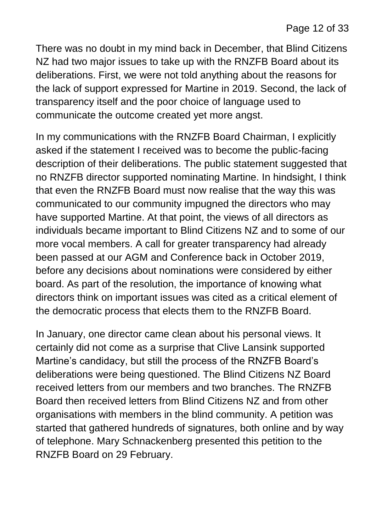There was no doubt in my mind back in December, that Blind Citizens NZ had two major issues to take up with the RNZFB Board about its deliberations. First, we were not told anything about the reasons for the lack of support expressed for Martine in 2019. Second, the lack of transparency itself and the poor choice of language used to communicate the outcome created yet more angst.

In my communications with the RNZFB Board Chairman, I explicitly asked if the statement I received was to become the public-facing description of their deliberations. The public statement suggested that no RNZFB director supported nominating Martine. In hindsight, I think that even the RNZFB Board must now realise that the way this was communicated to our community impugned the directors who may have supported Martine. At that point, the views of all directors as individuals became important to Blind Citizens NZ and to some of our more vocal members. A call for greater transparency had already been passed at our AGM and Conference back in October 2019, before any decisions about nominations were considered by either board. As part of the resolution, the importance of knowing what directors think on important issues was cited as a critical element of the democratic process that elects them to the RNZFB Board.

In January, one director came clean about his personal views. It certainly did not come as a surprise that Clive Lansink supported Martine's candidacy, but still the process of the RNZFB Board's deliberations were being questioned. The Blind Citizens NZ Board received letters from our members and two branches. The RNZFB Board then received letters from Blind Citizens NZ and from other organisations with members in the blind community. A petition was started that gathered hundreds of signatures, both online and by way of telephone. Mary Schnackenberg presented this petition to the RNZFB Board on 29 February.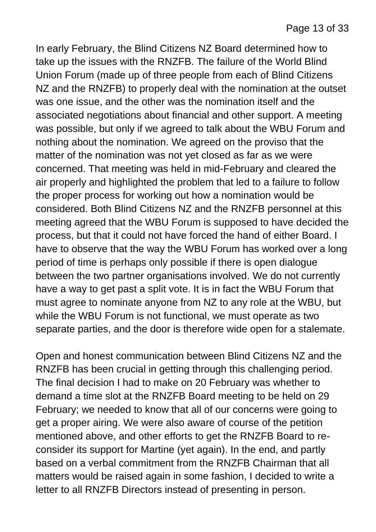In early February, the Blind Citizens NZ Board determined how to take up the issues with the RNZFB. The failure of the World Blind Union Forum (made up of three people from each of Blind Citizens NZ and the RNZFB) to properly deal with the nomination at the outset was one issue, and the other was the nomination itself and the associated negotiations about financial and other support. A meeting was possible, but only if we agreed to talk about the WBU Forum and nothing about the nomination. We agreed on the proviso that the matter of the nomination was not yet closed as far as we were concerned. That meeting was held in mid-February and cleared the air properly and highlighted the problem that led to a failure to follow the proper process for working out how a nomination would be considered. Both Blind Citizens NZ and the RNZFB personnel at this meeting agreed that the WBU Forum is supposed to have decided the process, but that it could not have forced the hand of either Board. I have to observe that the way the WBU Forum has worked over a long period of time is perhaps only possible if there is open dialogue between the two partner organisations involved. We do not currently have a way to get past a split vote. It is in fact the WBU Forum that must agree to nominate anyone from NZ to any role at the WBU, but while the WBU Forum is not functional, we must operate as two separate parties, and the door is therefore wide open for a stalemate.

Open and honest communication between Blind Citizens NZ and the RNZFB has been crucial in getting through this challenging period. The final decision I had to make on 20 February was whether to demand a time slot at the RNZFB Board meeting to be held on 29 February; we needed to know that all of our concerns were going to get a proper airing. We were also aware of course of the petition mentioned above, and other efforts to get the RNZFB Board to reconsider its support for Martine (yet again). In the end, and partly based on a verbal commitment from the RNZFB Chairman that all matters would be raised again in some fashion, I decided to write a letter to all RNZFB Directors instead of presenting in person.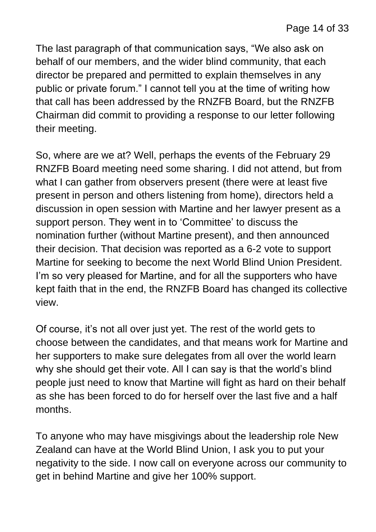The last paragraph of that communication says, "We also ask on behalf of our members, and the wider blind community, that each director be prepared and permitted to explain themselves in any public or private forum." I cannot tell you at the time of writing how that call has been addressed by the RNZFB Board, but the RNZFB Chairman did commit to providing a response to our letter following their meeting.

So, where are we at? Well, perhaps the events of the February 29 RNZFB Board meeting need some sharing. I did not attend, but from what I can gather from observers present (there were at least five present in person and others listening from home), directors held a discussion in open session with Martine and her lawyer present as a support person. They went in to 'Committee' to discuss the nomination further (without Martine present), and then announced their decision. That decision was reported as a 6-2 vote to support Martine for seeking to become the next World Blind Union President. I'm so very pleased for Martine, and for all the supporters who have kept faith that in the end, the RNZFB Board has changed its collective view.

Of course, it's not all over just yet. The rest of the world gets to choose between the candidates, and that means work for Martine and her supporters to make sure delegates from all over the world learn why she should get their vote. All I can say is that the world's blind people just need to know that Martine will fight as hard on their behalf as she has been forced to do for herself over the last five and a half months.

To anyone who may have misgivings about the leadership role New Zealand can have at the World Blind Union, I ask you to put your negativity to the side. I now call on everyone across our community to get in behind Martine and give her 100% support.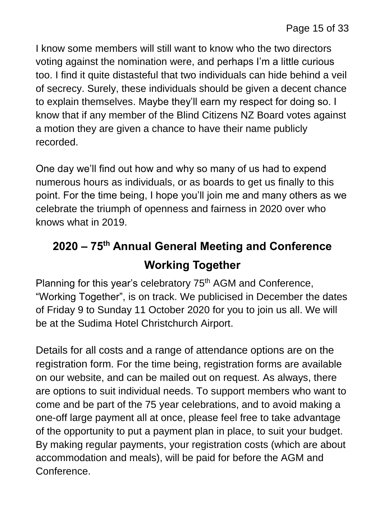I know some members will still want to know who the two directors voting against the nomination were, and perhaps I'm a little curious too. I find it quite distasteful that two individuals can hide behind a veil of secrecy. Surely, these individuals should be given a decent chance to explain themselves. Maybe they'll earn my respect for doing so. I know that if any member of the Blind Citizens NZ Board votes against a motion they are given a chance to have their name publicly recorded.

One day we'll find out how and why so many of us had to expend numerous hours as individuals, or as boards to get us finally to this point. For the time being, I hope you'll join me and many others as we celebrate the triumph of openness and fairness in 2020 over who knows what in 2019.

# **2020 – 75th Annual General Meeting and Conference Working Together**

Planning for this year's celebratory 75<sup>th</sup> AGM and Conference, "Working Together", is on track. We publicised in December the dates of Friday 9 to Sunday 11 October 2020 for you to join us all. We will be at the Sudima Hotel Christchurch Airport.

Details for all costs and a range of attendance options are on the registration form. For the time being, registration forms are available on our website, and can be mailed out on request. As always, there are options to suit individual needs. To support members who want to come and be part of the 75 year celebrations, and to avoid making a one-off large payment all at once, please feel free to take advantage of the opportunity to put a payment plan in place, to suit your budget. By making regular payments, your registration costs (which are about accommodation and meals), will be paid for before the AGM and Conference.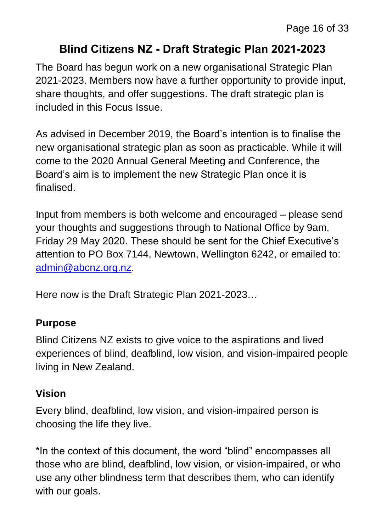#### **Blind Citizens NZ - Draft Strategic Plan 2021-2023**

The Board has begun work on a new organisational Strategic Plan 2021-2023. Members now have a further opportunity to provide input, share thoughts, and offer suggestions. The draft strategic plan is included in this Focus Issue.

As advised in December 2019, the Board's intention is to finalise the new organisational strategic plan as soon as practicable. While it will come to the 2020 Annual General Meeting and Conference, the Board's aim is to implement the new Strategic Plan once it is finalised.

Input from members is both welcome and encouraged – please send your thoughts and suggestions through to National Office by 9am, Friday 29 May 2020. These should be sent for the Chief Executive's attention to PO Box 7144, Newtown, Wellington 6242, or emailed to: [admin@abcnz.org.nz.](mailto:admin@abcnz.org.nz)

Here now is the Draft Strategic Plan 2021-2023…

#### **Purpose**

Blind Citizens NZ exists to give voice to the aspirations and lived experiences of blind, deafblind, low vision, and vision-impaired people living in New Zealand.

#### **Vision**

Every blind, deafblind, low vision, and vision-impaired person is choosing the life they live.

\*In the context of this document, the word "blind" encompasses all those who are blind, deafblind, low vision, or vision-impaired, or who use any other blindness term that describes them, who can identify with our goals.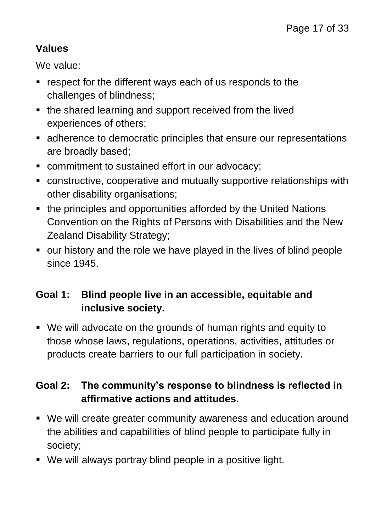#### **Values**

We value:

- **F** respect for the different ways each of us responds to the challenges of blindness;
- the shared learning and support received from the lived experiences of others;
- adherence to democratic principles that ensure our representations are broadly based;
- commitment to sustained effort in our advocacy;
- constructive, cooperative and mutually supportive relationships with other disability organisations;
- the principles and opportunities afforded by the United Nations Convention on the Rights of Persons with Disabilities and the New Zealand Disability Strategy;
- our history and the role we have played in the lives of blind people since 1945.

#### **Goal 1: Blind people live in an accessible, equitable and inclusive society.**

 We will advocate on the grounds of human rights and equity to those whose laws, regulations, operations, activities, attitudes or products create barriers to our full participation in society.

#### **Goal 2: The community's response to blindness is reflected in affirmative actions and attitudes.**

- We will create greater community awareness and education around the abilities and capabilities of blind people to participate fully in society;
- We will always portray blind people in a positive light.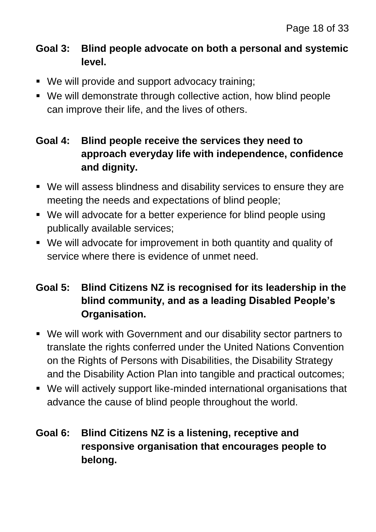#### **Goal 3: Blind people advocate on both a personal and systemic level.**

- We will provide and support advocacy training;
- We will demonstrate through collective action, how blind people can improve their life, and the lives of others.

#### **Goal 4: Blind people receive the services they need to approach everyday life with independence, confidence and dignity.**

- We will assess blindness and disability services to ensure they are meeting the needs and expectations of blind people;
- We will advocate for a better experience for blind people using publically available services;
- We will advocate for improvement in both quantity and quality of service where there is evidence of unmet need.

#### **Goal 5: Blind Citizens NZ is recognised for its leadership in the blind community, and as a leading Disabled People's Organisation.**

- We will work with Government and our disability sector partners to translate the rights conferred under the United Nations Convention on the Rights of Persons with Disabilities, the Disability Strategy and the Disability Action Plan into tangible and practical outcomes;
- We will actively support like-minded international organisations that advance the cause of blind people throughout the world.

#### **Goal 6: Blind Citizens NZ is a listening, receptive and responsive organisation that encourages people to belong.**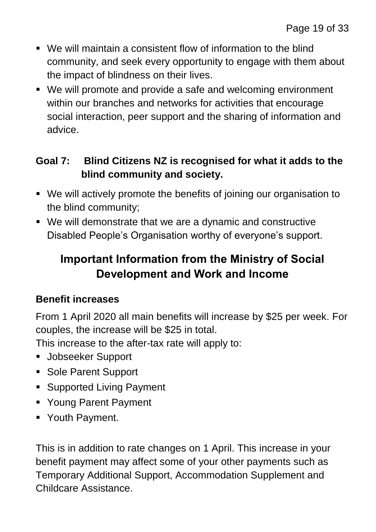- We will maintain a consistent flow of information to the blind community, and seek every opportunity to engage with them about the impact of blindness on their lives.
- We will promote and provide a safe and welcoming environment within our branches and networks for activities that encourage social interaction, peer support and the sharing of information and advice.

#### **Goal 7: Blind Citizens NZ is recognised for what it adds to the blind community and society.**

- We will actively promote the benefits of joining our organisation to the blind community;
- We will demonstrate that we are a dynamic and constructive Disabled People's Organisation worthy of everyone's support.

# **Important Information from the Ministry of Social Development and Work and Income**

#### **Benefit increases**

From 1 April 2020 all main benefits will increase by \$25 per week. For couples, the increase will be \$25 in total.

This increase to the after-tax rate will apply to:

- **Jobseeker Support**
- **Sole Parent Support**
- **Supported Living Payment**
- Young Parent Payment
- Youth Payment.

This is in addition to rate changes on 1 April. This increase in your benefit payment may affect some of your other payments such as Temporary Additional Support, Accommodation Supplement and Childcare Assistance.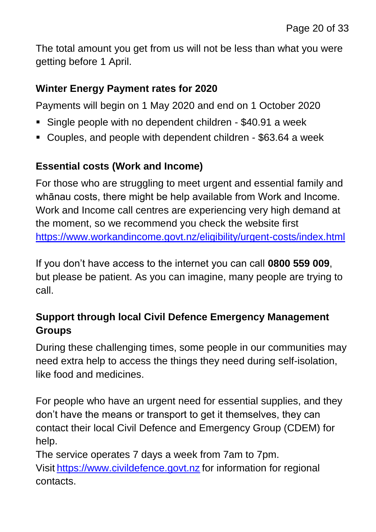The total amount you get from us will not be less than what you were getting before 1 April.

#### **Winter Energy Payment rates for 2020**

Payments will begin on 1 May 2020 and end on 1 October 2020

- Single people with no dependent children \$40.91 a week
- Couples, and people with dependent children \$63.64 a week

#### **Essential costs (Work and Income)**

For those who are struggling to meet urgent and essential family and whānau costs, there might be help available from Work and Income. Work and Income call centres are experiencing very high demand at the moment, so we recommend you check the website first <https://www.workandincome.govt.nz/eligibility/urgent-costs/index.html>

If you don't have access to the internet you can call **0800 559 009**, but please be patient. As you can imagine, many people are trying to call.

#### **Support through local Civil Defence Emergency Management Groups**

During these challenging times, some people in our communities may need extra help to access the things they need during self-isolation, like food and medicines.

For people who have an urgent need for essential supplies, and they don't have the means or transport to get it themselves, they can contact their local Civil Defence and Emergency Group (CDEM) for help.

The service operates 7 days a week from 7am to 7pm. Visit [https://www.civildefence.govt.nz](https://www.civildefence.govt.nz/) for information for regional contacts.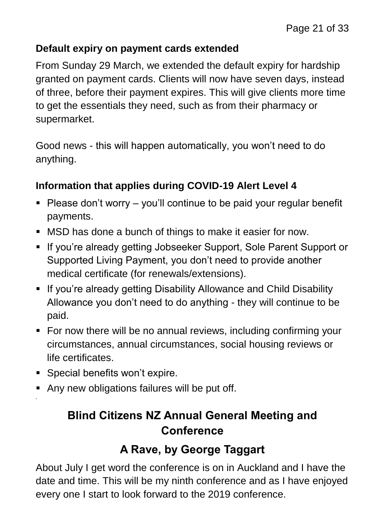#### **Default expiry on payment cards extended**

From Sunday 29 March, we extended the default expiry for hardship granted on payment cards. Clients will now have seven days, instead of three, before their payment expires. This will give clients more time to get the essentials they need, such as from their pharmacy or supermarket.

Good news - this will happen automatically, you won't need to do anything.

#### **Information that applies during COVID-19 Alert Level 4**

- $\blacksquare$  Please don't worry you'll continue to be paid your regular benefit payments.
- MSD has done a bunch of things to make it easier for now.
- **If you're already getting Jobseeker Support, Sole Parent Support or** Supported Living Payment, you don't need to provide another medical certificate (for renewals/extensions).
- **If you're already getting Disability Allowance and Child Disability** Allowance you don't need to do anything - they will continue to be paid.
- For now there will be no annual reviews, including confirming your circumstances, annual circumstances, social housing reviews or life certificates.
- **Special benefits won't expire.**

**'**

Any new obligations failures will be put off.

# **Blind Citizens NZ Annual General Meeting and Conference**

#### **A Rave, by George Taggart**

About July I get word the conference is on in Auckland and I have the date and time. This will be my ninth conference and as I have enjoyed every one I start to look forward to the 2019 conference.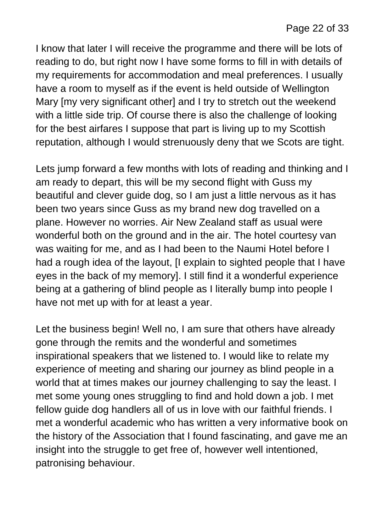I know that later I will receive the programme and there will be lots of reading to do, but right now I have some forms to fill in with details of my requirements for accommodation and meal preferences. I usually have a room to myself as if the event is held outside of Wellington Mary [my very significant other] and I try to stretch out the weekend with a little side trip. Of course there is also the challenge of looking for the best airfares I suppose that part is living up to my Scottish reputation, although I would strenuously deny that we Scots are tight.

Lets jump forward a few months with lots of reading and thinking and I am ready to depart, this will be my second flight with Guss my beautiful and clever guide dog, so I am just a little nervous as it has been two years since Guss as my brand new dog travelled on a plane. However no worries. Air New Zealand staff as usual were wonderful both on the ground and in the air. The hotel courtesy van was waiting for me, and as I had been to the Naumi Hotel before I had a rough idea of the layout, [I explain to sighted people that I have eyes in the back of my memory]. I still find it a wonderful experience being at a gathering of blind people as I literally bump into people I have not met up with for at least a year.

Let the business begin! Well no, I am sure that others have already gone through the remits and the wonderful and sometimes inspirational speakers that we listened to. I would like to relate my experience of meeting and sharing our journey as blind people in a world that at times makes our journey challenging to say the least. I met some young ones struggling to find and hold down a job. I met fellow guide dog handlers all of us in love with our faithful friends. I met a wonderful academic who has written a very informative book on the history of the Association that I found fascinating, and gave me an insight into the struggle to get free of, however well intentioned, patronising behaviour.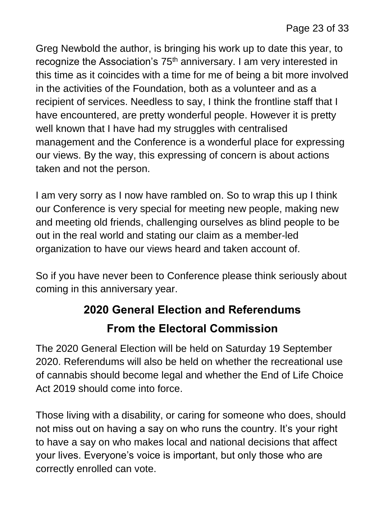Greg Newbold the author, is bringing his work up to date this year, to recognize the Association's 75<sup>th</sup> anniversary. I am very interested in this time as it coincides with a time for me of being a bit more involved in the activities of the Foundation, both as a volunteer and as a recipient of services. Needless to say, I think the frontline staff that I have encountered, are pretty wonderful people. However it is pretty well known that I have had my struggles with centralised management and the Conference is a wonderful place for expressing our views. By the way, this expressing of concern is about actions taken and not the person.

I am very sorry as I now have rambled on. So to wrap this up I think our Conference is very special for meeting new people, making new and meeting old friends, challenging ourselves as blind people to be out in the real world and stating our claim as a member-led organization to have our views heard and taken account of.

So if you have never been to Conference please think seriously about coming in this anniversary year.

# **2020 General Election and Referendums From the Electoral Commission**

The 2020 General Election will be held on Saturday 19 September 2020. Referendums will also be held on whether the recreational use of cannabis should become legal and whether the End of Life Choice Act 2019 should come into force.

Those living with a disability, or caring for someone who does, should not miss out on having a say on who runs the country. It's your right to have a say on who makes local and national decisions that affect your lives. Everyone's voice is important, but only those who are correctly enrolled can vote.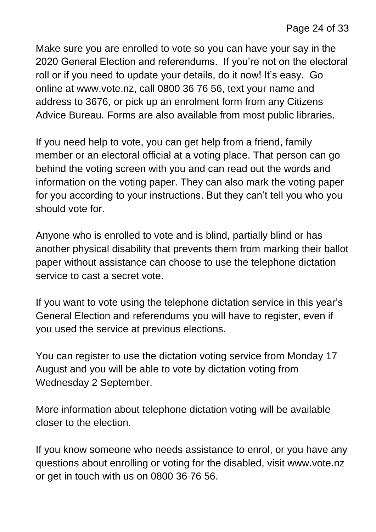Make sure you are enrolled to vote so you can have your say in the 2020 General Election and referendums. If you're not on the electoral roll or if you need to update your details, do it now! It's easy. Go online at www.vote.nz, call 0800 36 76 56, text your name and address to 3676, or pick up an enrolment form from any Citizens Advice Bureau. Forms are also available from most public libraries.

If you need help to vote, you can get help from a friend, family member or an electoral official at a voting place. That person can go behind the voting screen with you and can read out the words and information on the voting paper. They can also mark the voting paper for you according to your instructions. But they can't tell you who you should vote for.

Anyone who is enrolled to vote and is blind, partially blind or has another physical disability that prevents them from marking their ballot paper without assistance can choose to use the telephone dictation service to cast a secret vote.

If you want to vote using the telephone dictation service in this year's General Election and referendums you will have to register, even if you used the service at previous elections.

You can register to use the dictation voting service from Monday 17 August and you will be able to vote by dictation voting from Wednesday 2 September.

More information about telephone dictation voting will be available closer to the election.

If you know someone who needs assistance to enrol, or you have any questions about enrolling or voting for the disabled, visit www.vote.nz or get in touch with us on 0800 36 76 56.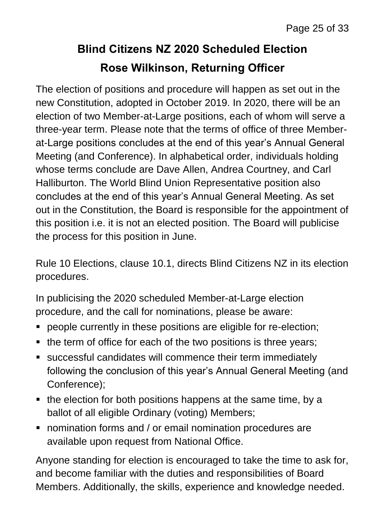# **Blind Citizens NZ 2020 Scheduled Election Rose Wilkinson, Returning Officer**

The election of positions and procedure will happen as set out in the new Constitution, adopted in October 2019. In 2020, there will be an election of two Member-at-Large positions, each of whom will serve a three-year term. Please note that the terms of office of three Memberat-Large positions concludes at the end of this year's Annual General Meeting (and Conference). In alphabetical order, individuals holding whose terms conclude are Dave Allen, Andrea Courtney, and Carl Halliburton. The World Blind Union Representative position also concludes at the end of this year's Annual General Meeting. As set out in the Constitution, the Board is responsible for the appointment of this position i.e. it is not an elected position. The Board will publicise the process for this position in June.

Rule 10 Elections, clause 10.1, directs Blind Citizens NZ in its election procedures.

In publicising the 2020 scheduled Member-at-Large election procedure, and the call for nominations, please be aware:

- people currently in these positions are eligible for re-election;
- the term of office for each of the two positions is three years;
- successful candidates will commence their term immediately following the conclusion of this year's Annual General Meeting (and Conference);
- the election for both positions happens at the same time, by a ballot of all eligible Ordinary (voting) Members;
- **nomination forms and / or email nomination procedures are** available upon request from National Office.

Anyone standing for election is encouraged to take the time to ask for, and become familiar with the duties and responsibilities of Board Members. Additionally, the skills, experience and knowledge needed.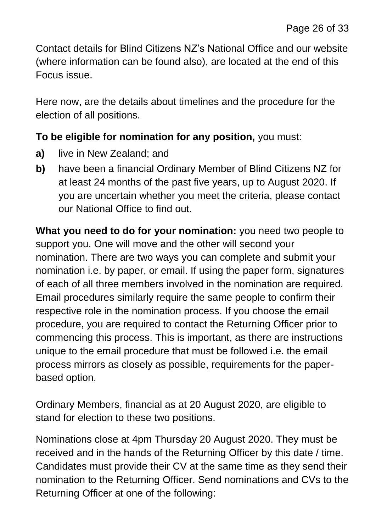Contact details for Blind Citizens NZ's National Office and our website (where information can be found also), are located at the end of this Focus issue.

Here now, are the details about timelines and the procedure for the election of all positions.

#### **To be eligible for nomination for any position,** you must:

- **a)** live in New Zealand; and
- **b)** have been a financial Ordinary Member of Blind Citizens NZ for at least 24 months of the past five years, up to August 2020. If you are uncertain whether you meet the criteria, please contact our National Office to find out.

**What you need to do for your nomination:** you need two people to support you. One will move and the other will second your nomination. There are two ways you can complete and submit your nomination i.e. by paper, or email. If using the paper form, signatures of each of all three members involved in the nomination are required. Email procedures similarly require the same people to confirm their respective role in the nomination process. If you choose the email procedure, you are required to contact the Returning Officer prior to commencing this process. This is important, as there are instructions unique to the email procedure that must be followed i.e. the email process mirrors as closely as possible, requirements for the paperbased option.

Ordinary Members, financial as at 20 August 2020, are eligible to stand for election to these two positions.

Nominations close at 4pm Thursday 20 August 2020. They must be received and in the hands of the Returning Officer by this date / time. Candidates must provide their CV at the same time as they send their nomination to the Returning Officer. Send nominations and CVs to the Returning Officer at one of the following: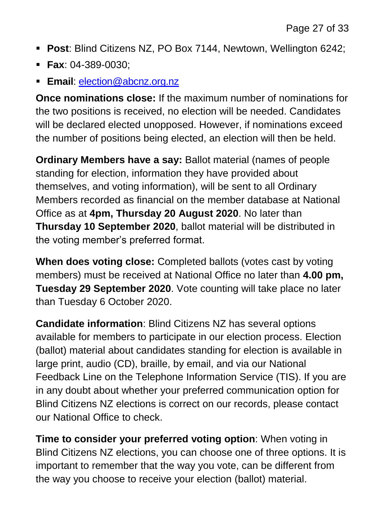- **Post**: Blind Citizens NZ, PO Box 7144, Newtown, Wellington 6242;
- **Fax**: 04-389-0030;
- **Email**: [election@abcnz.org.nz](mailto:election@abcnz.org.nz)

**Once nominations close:** If the maximum number of nominations for the two positions is received, no election will be needed. Candidates will be declared elected unopposed. However, if nominations exceed the number of positions being elected, an election will then be held.

**Ordinary Members have a say:** Ballot material (names of people standing for election, information they have provided about themselves, and voting information), will be sent to all Ordinary Members recorded as financial on the member database at National Office as at **4pm, Thursday 20 August 2020**. No later than **Thursday 10 September 2020**, ballot material will be distributed in the voting member's preferred format.

**When does voting close:** Completed ballots (votes cast by voting members) must be received at National Office no later than **4.00 pm, Tuesday 29 September 2020**. Vote counting will take place no later than Tuesday 6 October 2020.

**Candidate information**: Blind Citizens NZ has several options available for members to participate in our election process. Election (ballot) material about candidates standing for election is available in large print, audio (CD), braille, by email, and via our National Feedback Line on the Telephone Information Service (TIS). If you are in any doubt about whether your preferred communication option for Blind Citizens NZ elections is correct on our records, please contact our National Office to check.

**Time to consider your preferred voting option**: When voting in Blind Citizens NZ elections, you can choose one of three options. It is important to remember that the way you vote, can be different from the way you choose to receive your election (ballot) material.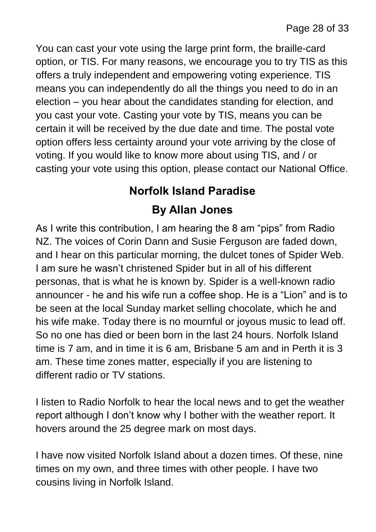You can cast your vote using the large print form, the braille-card option, or TIS. For many reasons, we encourage you to try TIS as this offers a truly independent and empowering voting experience. TIS means you can independently do all the things you need to do in an election – you hear about the candidates standing for election, and you cast your vote. Casting your vote by TIS, means you can be certain it will be received by the due date and time. The postal vote option offers less certainty around your vote arriving by the close of voting. If you would like to know more about using TIS, and / or casting your vote using this option, please contact our National Office.

# **Norfolk Island Paradise By Allan Jones**

As I write this contribution, I am hearing the 8 am "pips" from Radio NZ. The voices of Corin Dann and Susie Ferguson are faded down, and I hear on this particular morning, the dulcet tones of Spider Web. I am sure he wasn't christened Spider but in all of his different personas, that is what he is known by. Spider is a well-known radio announcer - he and his wife run a coffee shop. He is a "Lion" and is to be seen at the local Sunday market selling chocolate, which he and his wife make. Today there is no mournful or joyous music to lead off. So no one has died or been born in the last 24 hours. Norfolk Island time is 7 am, and in time it is 6 am, Brisbane 5 am and in Perth it is 3 am. These time zones matter, especially if you are listening to different radio or TV stations.

I listen to Radio Norfolk to hear the local news and to get the weather report although I don't know why I bother with the weather report. It hovers around the 25 degree mark on most days.

I have now visited Norfolk Island about a dozen times. Of these, nine times on my own, and three times with other people. I have two cousins living in Norfolk Island.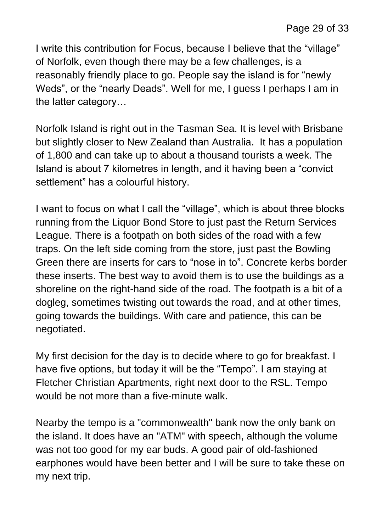I write this contribution for Focus, because I believe that the "village" of Norfolk, even though there may be a few challenges, is a reasonably friendly place to go. People say the island is for "newly Weds", or the "nearly Deads". Well for me, I guess I perhaps I am in the latter category…

Norfolk Island is right out in the Tasman Sea. It is level with Brisbane but slightly closer to New Zealand than Australia. It has a population of 1,800 and can take up to about a thousand tourists a week. The Island is about 7 kilometres in length, and it having been a "convict settlement" has a colourful history.

I want to focus on what I call the "village", which is about three blocks running from the Liquor Bond Store to just past the Return Services League. There is a footpath on both sides of the road with a few traps. On the left side coming from the store, just past the Bowling Green there are inserts for cars to "nose in to". Concrete kerbs border these inserts. The best way to avoid them is to use the buildings as a shoreline on the right-hand side of the road. The footpath is a bit of a dogleg, sometimes twisting out towards the road, and at other times, going towards the buildings. With care and patience, this can be negotiated.

My first decision for the day is to decide where to go for breakfast. I have five options, but today it will be the "Tempo". I am staying at Fletcher Christian Apartments, right next door to the RSL. Tempo would be not more than a five-minute walk

Nearby the tempo is a "commonwealth" bank now the only bank on the island. It does have an "ATM" with speech, although the volume was not too good for my ear buds. A good pair of old-fashioned earphones would have been better and I will be sure to take these on my next trip.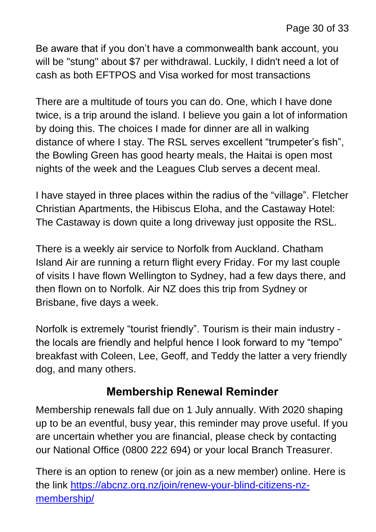Be aware that if you don't have a commonwealth bank account, you will be "stung" about \$7 per withdrawal. Luckily, I didn't need a lot of cash as both EFTPOS and Visa worked for most transactions

There are a multitude of tours you can do. One, which I have done twice, is a trip around the island. I believe you gain a lot of information by doing this. The choices I made for dinner are all in walking distance of where I stay. The RSL serves excellent "trumpeter's fish", the Bowling Green has good hearty meals, the Haitai is open most nights of the week and the Leagues Club serves a decent meal.

I have stayed in three places within the radius of the "village". Fletcher Christian Apartments, the Hibiscus Eloha, and the Castaway Hotel: The Castaway is down quite a long driveway just opposite the RSL.

There is a weekly air service to Norfolk from Auckland. Chatham Island Air are running a return flight every Friday. For my last couple of visits I have flown Wellington to Sydney, had a few days there, and then flown on to Norfolk. Air NZ does this trip from Sydney or Brisbane, five days a week.

Norfolk is extremely "tourist friendly". Tourism is their main industry the locals are friendly and helpful hence I look forward to my "tempo" breakfast with Coleen, Lee, Geoff, and Teddy the latter a very friendly dog, and many others.

#### **Membership Renewal Reminder**

Membership renewals fall due on 1 July annually. With 2020 shaping up to be an eventful, busy year, this reminder may prove useful. If you are uncertain whether you are financial, please check by contacting our National Office (0800 222 694) or your local Branch Treasurer.

There is an option to renew (or join as a new member) online. Here is the link [https://abcnz.org.nz/join/renew-your-blind-citizens-nz](https://abcnz.org.nz/join/renew-your-blind-citizens-nz-membership/)[membership/](https://abcnz.org.nz/join/renew-your-blind-citizens-nz-membership/)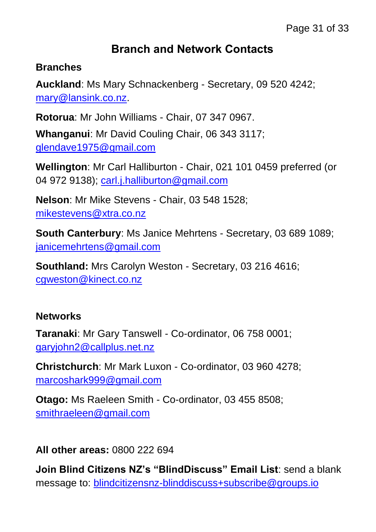#### **Branch and Network Contacts**

#### **Branches**

**Auckland**: Ms Mary Schnackenberg - Secretary, 09 520 4242; [mary@lansink.co.nz.](mailto:mary@lansink.co.nz)

**Rotorua**: Mr John Williams - Chair, 07 347 0967.

**Whanganui**: Mr David Couling Chair, 06 343 3117; [glendave1975@gmail.com](mailto:glendave1975@gmail.com)

**Wellington**: Mr Carl Halliburton - Chair, 021 101 0459 preferred (or 04 972 9138); [carl.j.halliburton@gmail.com](mailto:carl.j.halliburton@gmail.com)

**Nelson**: Mr Mike Stevens - Chair, 03 548 1528; [mikestevens@xtra.co.nz](mailto:mikestevens@xtra.co.nz)

**South Canterbury**: Ms Janice Mehrtens - Secretary, 03 689 1089; [janicemehrtens@gmail.com](mailto:janicemehrtens@gmail.com)

**Southland:** Mrs Carolyn Weston - Secretary, 03 216 4616; [cgweston@kinect.co.nz](mailto:cgweston@kinect.co.nz)

#### **Networks**

**Taranaki**: Mr Gary Tanswell - Co-ordinator, 06 758 0001; [garyjohn2@callplus.net.nz](mailto:garyjohn2@callplus.net.nz)

**Christchurch**: Mr Mark Luxon - Co-ordinator, 03 960 4278; [marcoshark999@gmail.com](mailto:marcoshark999@gmail.com)

**Otago:** Ms Raeleen Smith - Co-ordinator, 03 455 8508; [smithraeleen@gmail.com](mailto:smithraeleen@gmail.com)

**All other areas:** 0800 222 694

**Join Blind Citizens NZ's "BlindDiscuss" Email List**: send a blank message to: [blindcitizensnz-blinddiscuss+subscribe@groups.io](mailto:blindcitizensnz-blinddiscuss+subscribe@groups.io)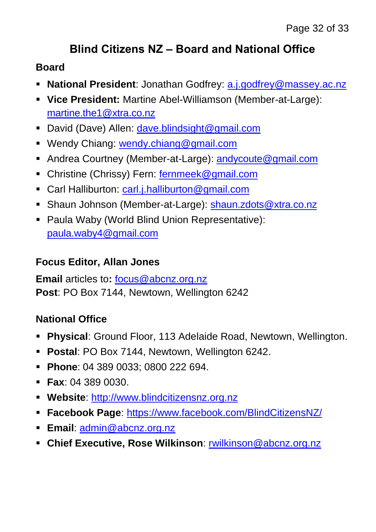### **Blind Citizens NZ – Board and National Office**

#### **Board**

- **National President**: Jonathan Godfrey: [a.j.godfrey@massey.ac.nz](mailto:a.j.godfrey@massey.ac.nz)
- **Vice President:** Martine Abel-Williamson (Member-at-Large): [martine.the1@xtra.co.nz](mailto:martine.the1@xtra.co.nz)
- David (Dave) Allen: [dave.blindsight@gmail.com](mailto:dave.blindsight@gmail.com)
- Wendy Chiang: [wendy.chiang@gmail.com](mailto:wendy.chiang@gmail.com)
- Andrea Courtney (Member-at-Large): [andycoute@gmail.com](mailto:andycoute@gmail.com)
- Christine (Chrissy) Fern: [fernmeek@gmail.com](mailto:fernmeek@gmail.com)
- Carl Halliburton: [carl.j.halliburton@gmail.com](mailto:carl.j.halliburton@gmail.com)
- Shaun Johnson (Member-at-Large): [shaun.zdots@xtra.co.nz](mailto:shaun.zdots@xtra.co.nz%20co.nz)
- Paula Waby (World Blind Union Representative): [paula.waby4@gmail.com](mailto:paula.waby4@gmail.com)

#### **Focus Editor, Allan Jones**

**Email** articles to**:** [focus@abcnz.org.nz](mailto:focus@abcnz.org.nz) **Post**: PO Box 7144, Newtown, Wellington 6242

#### **National Office**

- **Physical**: Ground Floor, 113 Adelaide Road, Newtown, Wellington.
- **Postal**: PO Box 7144, Newtown, Wellington 6242.
- **Phone: 04 389 0033; 0800 222 694.**
- **Fax**: 04 389 0030.
- **Website**: [http://www.blindcitizensnz.org.nz](http://www.blindcitizensnz.org.nz/)
- **Facebook Page**:<https://www.facebook.com/BlindCitizensNZ/>
- **Email**: [admin@abcnz.org.nz](mailto:admin@abcnz.org.nz)
- **Chief Executive, Rose Wilkinson**: [rwilkinson@abcnz.org.nz](mailto:rwilkinson@abcnz.org.nz)